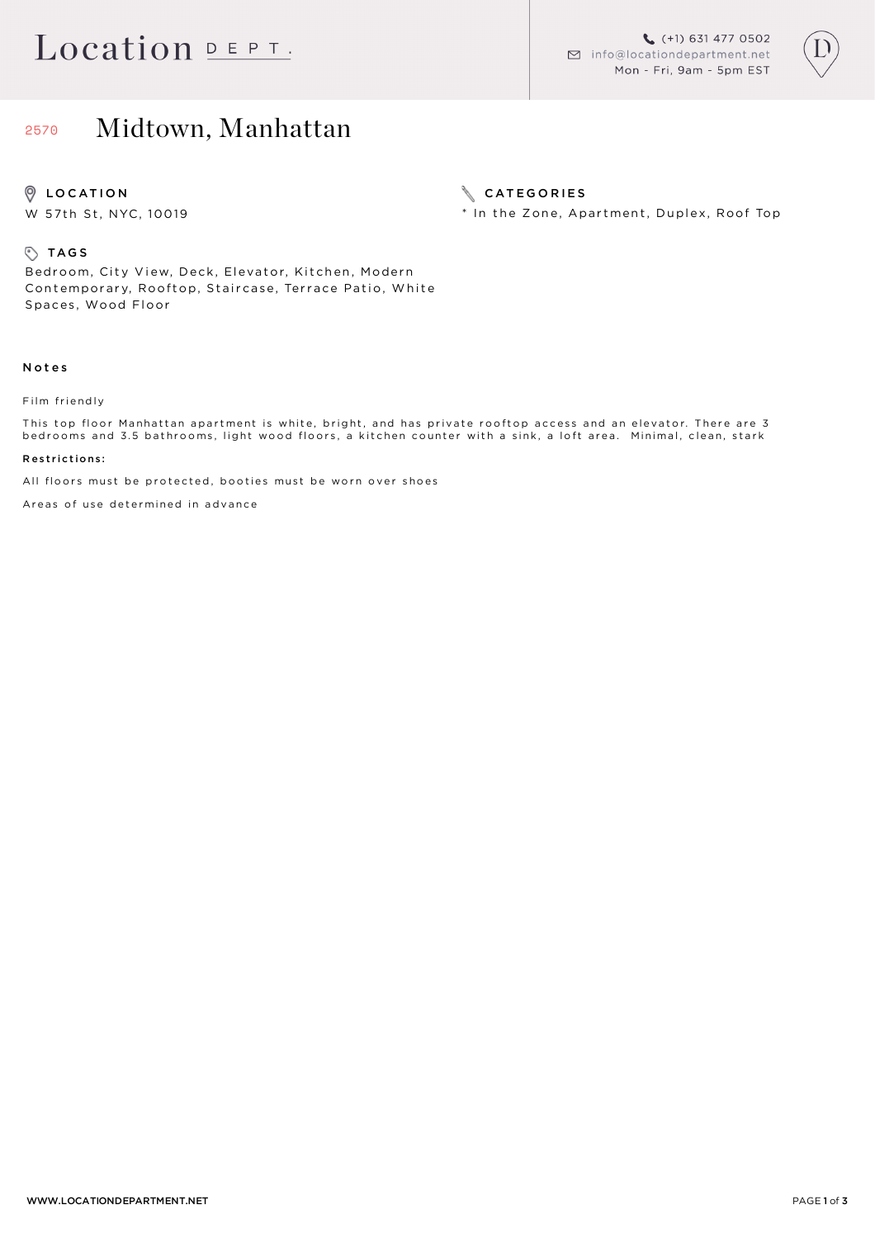### Location DEPT.



### <sup>2570</sup> Midtown, Manhattan

### **Q** LOCATION

W 57th St, NYC, 10019

CATEGORIES \* In the Zone, Apartment, Duplex, Roof Top

*S* TAGS

Bedroom, City View, Deck, Elevator, Kitchen, Modern Contemporary, Rooftop, Staircase, Terrace Patio, White Spaces, Wood Floor

#### N o t e s

Film friendly

This top floor Manhattan apartment is white, bright, and has private rooftop access and an elevator. There are 3 bedrooms and 3.5 bathrooms, light wood floors, a kitchen counter with a sink, a loft area. Minimal, clean, stark

#### Restrictions:

All floors must be protected, booties must be worn over shoes

Areas of use determined in advance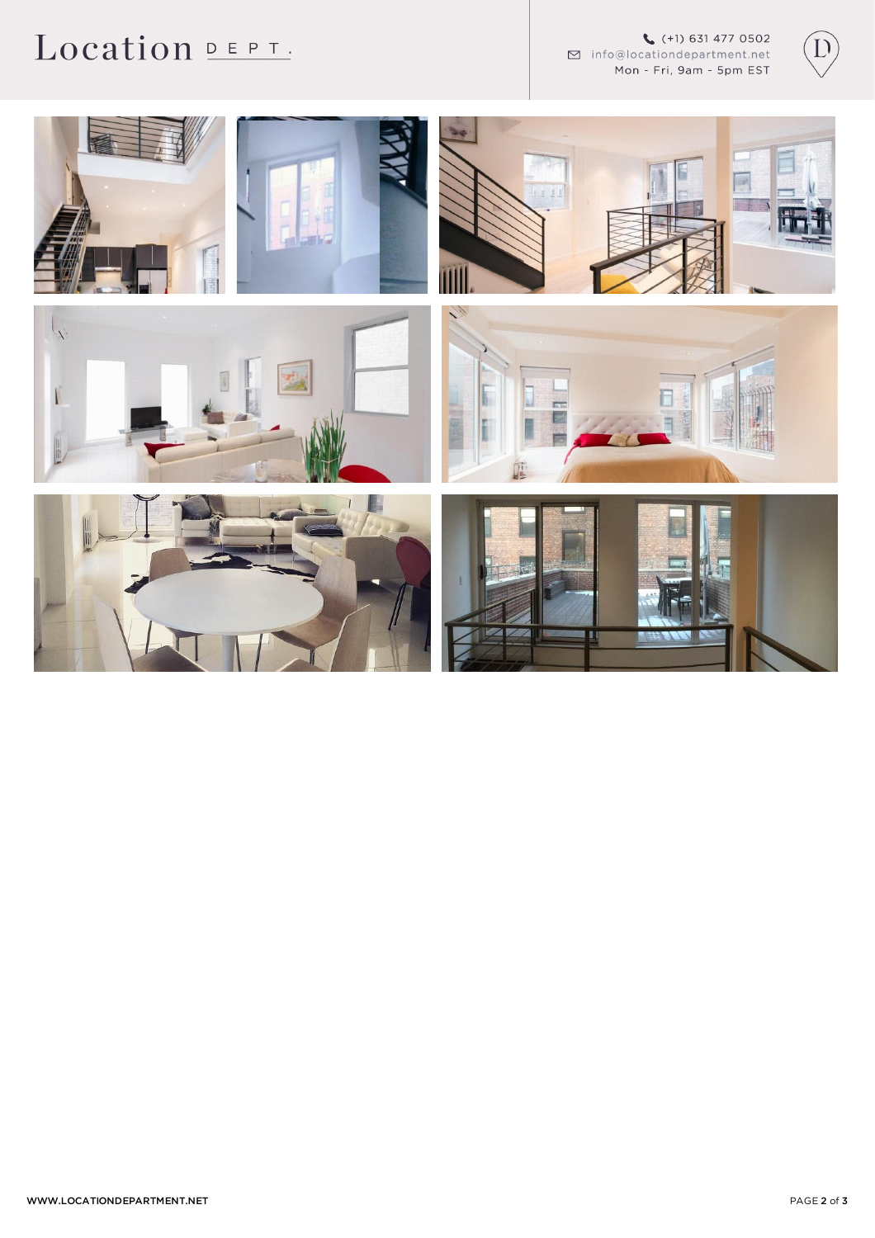# Location DEPT.

 $(+) 631 477 0502$ ◘ info@locationdepartment.net Mon - Fri, 9am - 5pm EST